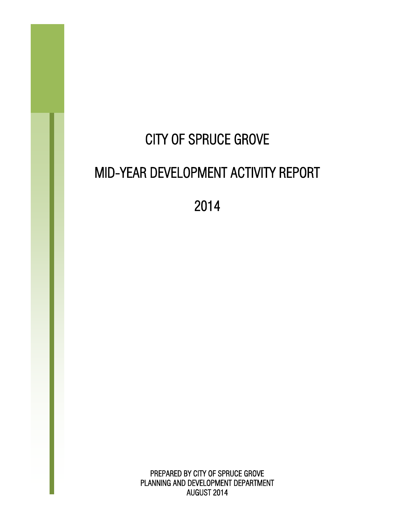# CITY OF SPRUCE GROVE MID-YEAR DEVELOPMENT ACTIVITY REPORT

2014

PREPARED BY CITY OF SPRUCE GROVE PLANNING AND DEVELOPMENT DEPARTMENT AUGUST 2014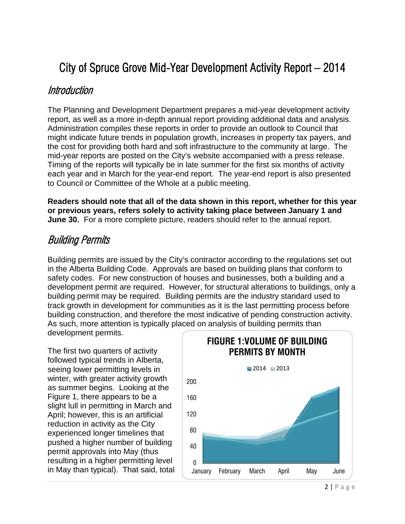# City of Spruce Grove Mid-Year Development Activity Report – 2014

#### Introduction

The Planning and Development Department prepares a mid-year development activity report, as well as a more in-depth annual report providing additional data and analysis. Administration compiles these reports in order to provide an outlook to Council that might indicate future trends in population growth, increases in property tax payers, and the cost for providing both hard and soft infrastructure to the community at large. The mid-year reports are posted on the City's website accompanied with a press release. Timing of the reports will typically be in late summer for the first six months of activity each year and in March for the year-end report. The year-end report is also presented to Council or Committee of the Whole at a public meeting.

**Readers should note that all of the data shown in this report, whether for this year or previous years, refers solely to activity taking place between January 1 and June 30.** For a more complete picture, readers should refer to the annual report.

#### Building Permits

Building permits are issued by the City's contractor according to the regulations set out in the Alberta Building Code. Approvals are based on building plans that conform to safety codes. For new construction of houses and businesses, both a building and a development permit are required. However, for structural alterations to buildings, only a building permit may be required. Building permits are the industry standard used to track growth in development for communities as it is the last permitting process before building construction, and therefore the most indicative of pending construction activity. As such, more attention is typically placed on analysis of building permits than development permits.

The first two quarters of activity followed typical trends in Alberta, seeing lower permitting levels in winter, with greater activity growth as summer begins. Looking at the Figure 1, there appears to be a slight lull in permitting in March and April; however, this is an artificial reduction in activity as the City experienced longer timelines that pushed a higher number of building permit approvals into May (thus resulting in a higher permitting level in May than typical). That said, total

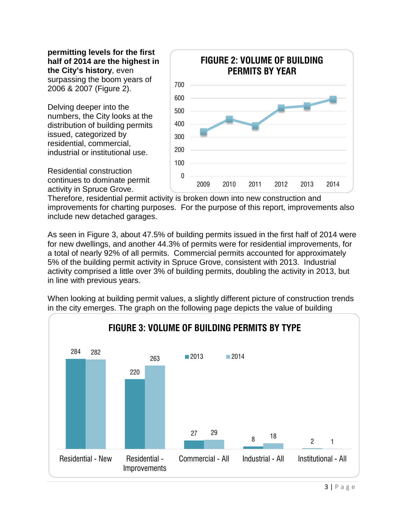**permitting levels for the first half of 2014 are the highest in the City's history**, even surpassing the boom years of 2006 & 2007 (Figure 2).

Delving deeper into the numbers, the City looks at the distribution of building permits issued, categorized by residential, commercial, industrial or institutional use.



Residential construction continues to dominate permit activity in Spruce Grove.

Therefore, residential permit activity is broken down into new construction and improvements for charting purposes. For the purpose of this report, improvements also include new detached garages.

As seen in Figure 3, about 47.5% of building permits issued in the first half of 2014 were for new dwellings, and another 44.3% of permits were for residential improvements, for a total of nearly 92% of all permits. Commercial permits accounted for approximately 5% of the building permit activity in Spruce Grove, consistent with 2013. Industrial activity comprised a little over 3% of building permits, doubling the activity in 2013, but in line with previous years.



When looking at building permit values, a slightly different picture of construction trends in the city emerges. The graph on the following page depicts the value of building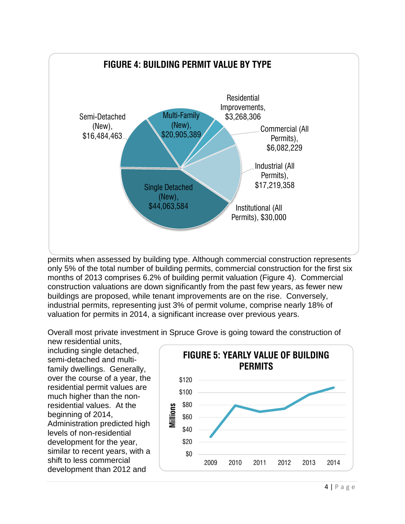

permits when assessed by building type. Although commercial construction represents only 5% of the total number of building permits, commercial construction for the first six months of 2013 comprises 6.2% of building permit valuation (Figure 4). Commercial construction valuations are down significantly from the past few years, as fewer new buildings are proposed, while tenant improvements are on the rise. Conversely, industrial permits, representing just 3% of permit volume, comprise nearly 18% of valuation for permits in 2014, a significant increase over previous years.

Overall most private investment in Spruce Grove is going toward the construction of

new residential units, including single detached, semi-detached and multifamily dwellings. Generally, over the course of a year, the residential permit values are much higher than the nonresidential values. At the beginning of 2014, Administration predicted high levels of non-residential development for the year, similar to recent years, with a shift to less commercial development than 2012 and

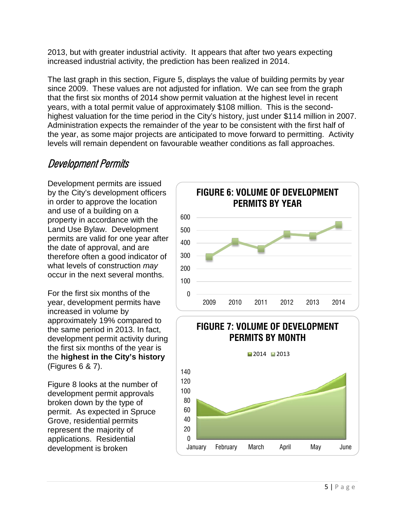2013, but with greater industrial activity. It appears that after two years expecting increased industrial activity, the prediction has been realized in 2014.

> $\Omega$ 20 40

The last graph in this section, Figure 5, displays the value of building permits by year since 2009. These values are not adjusted for inflation. We can see from the graph that the first six months of 2014 show permit valuation at the highest level in recent years, with a total permit value of approximately \$108 million. This is the secondhighest valuation for the time period in the City's history, just under \$114 million in 2007. Administration expects the remainder of the year to be consistent with the first half of the year, as some major projects are anticipated to move forward to permitting. Activity levels will remain dependent on favourable weather conditions as fall approaches.

## Development Permits

Development permits are issued by the City's development officers in order to approve the location and use of a building on a property in accordance with the Land Use Bylaw. Development permits are valid for one year after the date of approval, and are therefore often a good indicator of what levels of construction *may* occur in the next several months.

For the first six months of the year, development permits have increased in volume by approximately 19% compared to the same period in 2013. In fact, development permit activity during the first six months of the year is the **highest in the City's history** (Figures 6 & 7).

Figure 8 looks at the number of development permit approvals broken down by the type of permit. As expected in Spruce Grove, residential permits represent the majority of applications. Residential development is broken



January February March April May June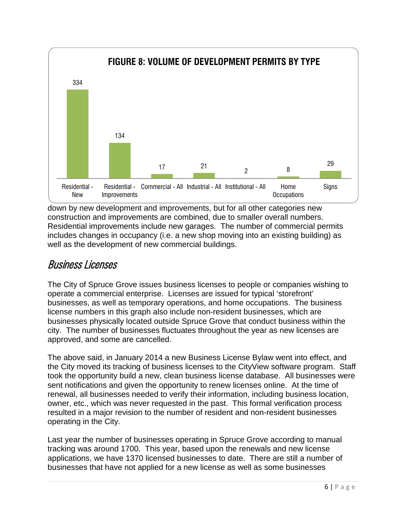

down by new development and improvements, but for all other categories new construction and improvements are combined, due to smaller overall numbers. Residential improvements include new garages. The number of commercial permits includes changes in occupancy (i.e. a new shop moving into an existing building) as well as the development of new commercial buildings.

### Business Licenses

The City of Spruce Grove issues business licenses to people or companies wishing to operate a commercial enterprise. Licenses are issued for typical 'storefront' businesses, as well as temporary operations, and home occupations. The business license numbers in this graph also include non-resident businesses, which are businesses physically located outside Spruce Grove that conduct business within the city. The number of businesses fluctuates throughout the year as new licenses are approved, and some are cancelled.

The above said, in January 2014 a new Business License Bylaw went into effect, and the City moved its tracking of business licenses to the CityView software program. Staff took the opportunity build a new, clean business license database. All businesses were sent notifications and given the opportunity to renew licenses online. At the time of renewal, all businesses needed to verify their information, including business location, owner, etc., which was never requested in the past. This formal verification process resulted in a major revision to the number of resident and non-resident businesses operating in the City.

Last year the number of businesses operating in Spruce Grove according to manual tracking was around 1700. This year, based upon the renewals and new license applications, we have 1370 licensed businesses to date. There are still a number of businesses that have not applied for a new license as well as some businesses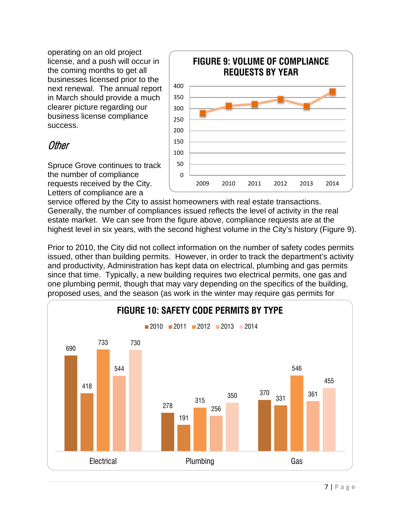operating on an old project license, and a push will occur in the coming months to get all businesses licensed prior to the next renewal. The annual report in March should provide a much clearer picture regarding our business license compliance success.

#### **Other**

Spruce Grove continues to track the number of compliance requests received by the City. Letters of compliance are a



service offered by the City to assist homeowners with real estate transactions. Generally, the number of compliances issued reflects the level of activity in the real estate market. We can see from the figure above, compliance requests are at the highest level in six years, with the second highest volume in the City's history (Figure 9).

Prior to 2010, the City did not collect information on the number of safety codes permits issued, other than building permits. However, in order to track the department's activity and productivity, Administration has kept data on electrical, plumbing and gas permits since that time. Typically, a new building requires two electrical permits, one gas and one plumbing permit, though that may vary depending on the specifics of the building, proposed uses, and the season (as work in the winter may require gas permits for